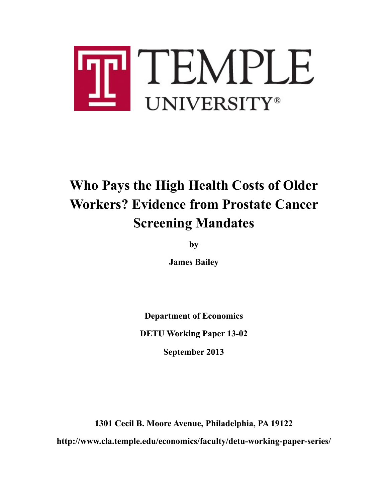

# **Who Pays the High Health Costs of Older Workers? Evidence from Prostate Cancer Screening Mandates**

**by**

**James Bailey**

**Department of Economics DETU Working Paper 13-02 September 2013**

**1301 Cecil B. Moore Avenue, Philadelphia, PA 19122 http://www.cla.temple.edu/economics/faculty/detu-working-paper-series/**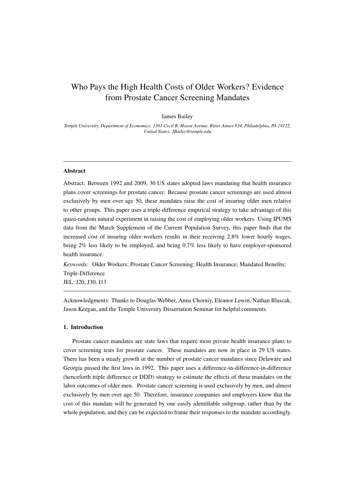# Who Pays the High Health Costs of Older Workers? Evidence from Prostate Cancer Screening Mandates

#### James Bailey

*Temple University, Department of Economics. 1301 Cecil B. Moore Avenue, Ritter Annex 834, Philadelphia, PA 19122, United States. JBailey@temple.edu*

# Abstract

Abstract: Between 1992 and 2009, 30 US states adopted laws mandating that health insurance plans cover screenings for prostate cancer. Because prostate cancer screenings are used almost exclusively by men over age 50, these mandates raise the cost of insuring older men relative to other groups. This paper uses a triple-difference empirical strategy to take advantage of this quasi-random natural experiment in raising the cost of employing older workers. Using IPUMS data from the March Supplement of the Current Population Survey, this paper finds that the increased cost of insuring older workers results in their receiving 2.8% lower hourly wages, being 2% less likely to be employed, and being 0.7% less likely to have employer-sponsored health insurance.

*Keywords:* Older Workers; Prostate Cancer Screening; Health Insurance; Mandated Benefits; Triple-Difference JEL: J20, J30, I13

Acknowledgments: Thanks to Douglas Webber, Anna Chorniy, Eleanor Lewin, Nathan Blascak, Jason Keegan, and the Temple University Dissertation Seminar for helpful comments.

## 1. Introduction

Prostate cancer mandates are state laws that require most private health insurance plans to cover screening tests for prostate cancer. These mandates are now in place in 29 US states. There has been a steady growth in the number of prostate cancer mandates since Delaware and Georgia passed the first laws in 1992. This paper uses a difference-in-difference-in-difference (henceforth triple difference or DDD) strategy to estimate the effects of these mandates on the labor outcomes of older men. Prostate cancer screening is used exclusively by men, and almost exclusively by men over age 50. Therefore, insurance companies and employers know that the cost of this mandate will be generated by one easily identifiable subgroup, rather than by the whole population, and they can be expected to frame their responses to the mandate accordingly.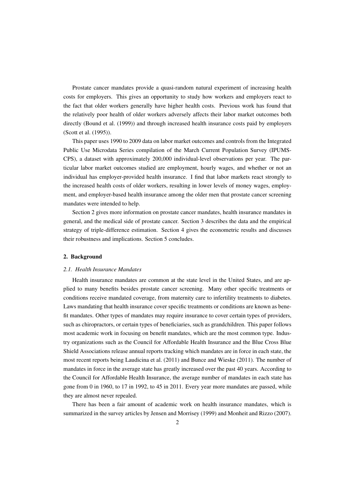Prostate cancer mandates provide a quasi-random natural experiment of increasing health costs for employers. This gives an opportunity to study how workers and employers react to the fact that older workers generally have higher health costs. Previous work has found that the relatively poor health of older workers adversely affects their labor market outcomes both directly (Bound et al. (1999)) and through increased health insurance costs paid by employers (Scott et al. (1995)).

This paper uses 1990 to 2009 data on labor market outcomes and controls from the Integrated Public Use Microdata Series compilation of the March Current Population Survey (IPUMS-CPS), a dataset with approximately 200,000 individual-level observations per year. The particular labor market outcomes studied are employment, hourly wages, and whether or not an individual has employer-provided health insurance. I find that labor markets react strongly to the increased health costs of older workers, resulting in lower levels of money wages, employment, and employer-based health insurance among the older men that prostate cancer screening mandates were intended to help.

Section 2 gives more information on prostate cancer mandates, health insurance mandates in general, and the medical side of prostate cancer. Section 3 describes the data and the empirical strategy of triple-difference estimation. Section 4 gives the econometric results and discusses their robustness and implications. Section 5 concludes.

# 2. Background

# *2.1. Health Insurance Mandates*

Health insurance mandates are common at the state level in the United States, and are applied to many benefits besides prostate cancer screening. Many other specific treatments or conditions receive mandated coverage, from maternity care to infertility treatments to diabetes. Laws mandating that health insurance cover specific treatments or conditions are known as benefit mandates. Other types of mandates may require insurance to cover certain types of providers, such as chiropractors, or certain types of beneficiaries, such as grandchildren. This paper follows most academic work in focusing on benefit mandates, which are the most common type. Industry organizations such as the Council for Affordable Health Insurance and the Blue Cross Blue Shield Associations release annual reports tracking which mandates are in force in each state, the most recent reports being Laudicina et al. (2011) and Bunce and Wieske (2011). The number of mandates in force in the average state has greatly increased over the past 40 years. According to the Council for Affordable Health Insurance, the average number of mandates in each state has gone from 0 in 1960, to 17 in 1992, to 45 in 2011. Every year more mandates are passed, while they are almost never repealed.

There has been a fair amount of academic work on health insurance mandates, which is summarized in the survey articles by Jensen and Morrisey (1999) and Monheit and Rizzo (2007).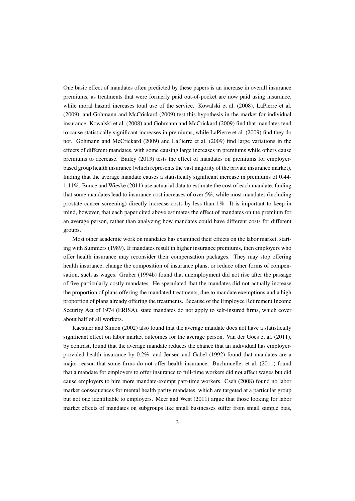One basic effect of mandates often predicted by these papers is an increase in overall insurance premiums, as treatments that were formerly paid out-of-pocket are now paid using insurance, while moral hazard increases total use of the service. Kowalski et al. (2008), LaPierre et al. (2009), and Gohmann and McCrickard (2009) test this hypothesis in the market for individual insurance. Kowalski et al. (2008) and Gohmann and McCrickard (2009) find that mandates tend to cause statistically significant increases in premiums, while LaPierre et al. (2009) find they do not. Gohmann and McCrickard (2009) and LaPierre et al. (2009) find large variations in the effects of different mandates, with some causing large increases in premiums while others cause premiums to decrease. Bailey (2013) tests the effect of mandates on premiums for employerbased group health insurance (which represents the vast majority of the private insurance market), finding that the average mandate causes a statistically significant increase in premiums of 0.44- 1.11%. Bunce and Wieske (2011) use actuarial data to estimate the cost of each mandate, finding that some mandates lead to insurance cost increases of over 5%, while most mandates (including prostate cancer screening) directly increase costs by less than 1%. It is important to keep in mind, however, that each paper cited above estimates the effect of mandates on the premium for an average person, rather than analyzing how mandates could have different costs for different groups.

Most other academic work on mandates has examined their effects on the labor market, starting with Summers (1989). If mandates result in higher insurance premiums, then employers who offer health insurance may reconsider their compensation packages. They may stop offering health insurance, change the composition of insurance plans, or reduce other forms of compensation, such as wages. Gruber (1994b) found that unemployment did not rise after the passage of five particularly costly mandates. He speculated that the mandates did not actually increase the proportion of plans offering the mandated treatments, due to mandate exemptions and a high proportion of plans already offering the treatments. Because of the Employee Retirement Income Security Act of 1974 (ERISA), state mandates do not apply to self-insured firms, which cover about half of all workers.

Kaestner and Simon (2002) also found that the average mandate does not have a statistically significant effect on labor market outcomes for the average person. Van der Goes et al. (2011), by contrast, found that the average mandate reduces the chance that an individual has employerprovided health insurance by 0.2%, and Jensen and Gabel (1992) found that mandates are a major reason that some firms do not offer health insurance. Buchmueller et al. (2011) found that a mandate for employers to offer insurance to full-time workers did not affect wages but did cause employers to hire more mandate-exempt part-time workers. Cseh (2008) found no labor market consequences for mental health parity mandates, which are targeted at a particular group but not one identifiable to employers. Meer and West (2011) argue that those looking for labor market effects of mandates on subgroups like small businesses suffer from small sample bias,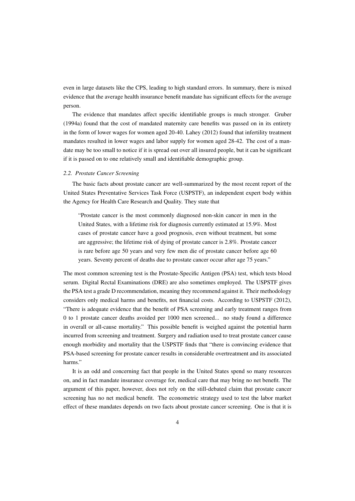even in large datasets like the CPS, leading to high standard errors. In summary, there is mixed evidence that the average health insurance benefit mandate has significant effects for the average person.

The evidence that mandates affect specific identifiable groups is much stronger. Gruber (1994a) found that the cost of mandated maternity care benefits was passed on in its entirety in the form of lower wages for women aged 20-40. Lahey (2012) found that infertility treatment mandates resulted in lower wages and labor supply for women aged 28-42. The cost of a mandate may be too small to notice if it is spread out over all insured people, but it can be significant if it is passed on to one relatively small and identifiable demographic group.

# *2.2. Prostate Cancer Screening*

The basic facts about prostate cancer are well-summarized by the most recent report of the United States Preventative Services Task Force (USPSTF), an independent expert body within the Agency for Health Care Research and Quality. They state that

"Prostate cancer is the most commonly diagnosed non-skin cancer in men in the United States, with a lifetime risk for diagnosis currently estimated at 15.9%. Most cases of prostate cancer have a good prognosis, even without treatment, but some are aggressive; the lifetime risk of dying of prostate cancer is 2.8%. Prostate cancer is rare before age 50 years and very few men die of prostate cancer before age 60 years. Seventy percent of deaths due to prostate cancer occur after age 75 years."

The most common screening test is the Prostate-Specific Antigen (PSA) test, which tests blood serum. Digital Rectal Examinations (DRE) are also sometimes employed. The USPSTF gives the PSA test a grade D recommendation, meaning they recommend against it. Their methodology considers only medical harms and benefits, not financial costs. According to USPSTF (2012), "There is adequate evidence that the benefit of PSA screening and early treatment ranges from 0 to 1 prostate cancer deaths avoided per 1000 men screened... no study found a difference in overall or all-cause mortality." This possible benefit is weighed against the potential harm incurred from screening and treatment. Surgery and radiation used to treat prostate cancer cause enough morbidity and mortality that the USPSTF finds that "there is convincing evidence that PSA-based screening for prostate cancer results in considerable overtreatment and its associated harms."

It is an odd and concerning fact that people in the United States spend so many resources on, and in fact mandate insurance coverage for, medical care that may bring no net benefit. The argument of this paper, however, does not rely on the still-debated claim that prostate cancer screening has no net medical benefit. The econometric strategy used to test the labor market effect of these mandates depends on two facts about prostate cancer screening. One is that it is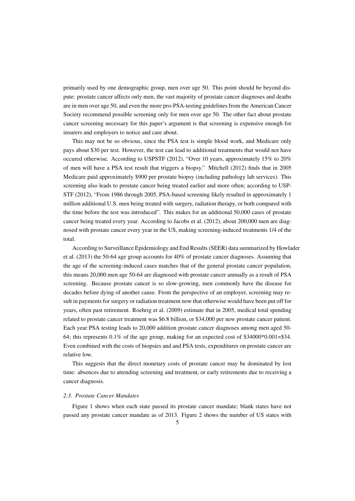primarily used by one demographic group, men over age 50. This point should be beyond dispute: prostate cancer affects only men, the vast majority of prostate cancer diagnoses and deaths are in men over age 50, and even the more pro-PSA-testing guidelines from the American Cancer Society recommend possible screening only for men over age 50. The other fact about prostate cancer screening necessary for this paper's argument is that screening is expensive enough for insurers and employers to notice and care about.

This may not be so obvious, since the PSA test is simple blood work, and Medicare only pays about \$30 per test. However, the test can lead to additional treatments that would not have occured otherwise. According to USPSTF (2012), "Over 10 years, approximately 15% to 20% of men will have a PSA test result that triggers a biopsy." Mitchell (2012) finds that in 2005 Medicare paid approximately \$900 per prostate biopsy (including pathology lab services). This screening also leads to prostate cancer being treated earlier and more often; according to USP-STF (2012), "From 1986 through 2005, PSA-based screening likely resulted in approximately 1 million additional U.S. men being treated with surgery, radiation therapy, or both compared with the time before the test was introduced". This makes for an additional 50,000 cases of prostate cancer being treated every year. According to Jacobs et al. (2012), about 200,000 men are diagnosed with prostate cancer every year in the US, making screening-induced treatments 1/4 of the total.

According to Surveillance Epidemiology and End Results (SEER) data summarized by Howlader et al. (2013) the 50-64 age group accounts for 40% of prostate cancer diagnoses. Assuming that the age of the screening-induced cases matches that of the general prostate cancer population, this means 20,000 men age 50-64 are diagnosed with prostate cancer annually as a result of PSA screening. Because prostate cancer is so slow-growing, men commonly have the disease for decades before dying of another cause. From the perspective of an employer, screening may result in payments for surgery or radiation treatment now that otherwise would have been put off for years, often past retirement. Roehrig et al. (2009) estimate that in 2005, medical total spending related to prostate cancer treatment was \$6.8 billion, or \$34,000 per new prostate cancer patient. Each year PSA testing leads to 20,000 addition prostate cancer diagnoses among men aged 50- 64; this represents  $0.1\%$  of the age group, making for an expected cost of \$34000 $*0.001 =$ \$34. Even combined with the costs of biopsies and and PSA tests, expenditures on prostate cancer are relative low.

This suggests that the direct monetary costs of prostate cancer may be dominated by lost time: absences due to attending screening and treatment, or early retirements due to receiving a cancer diagnosis.

# *2.3. Prostate Cancer Mandates*

Figure 1 shows when each state passed its prostate cancer mandate; blank states have not passed any prostate cancer mandate as of 2013. Figure 2 shows the number of US states with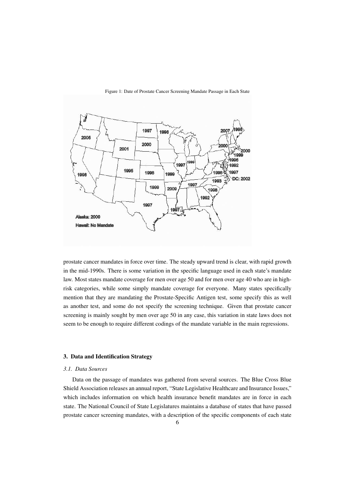

Figure 1: Date of Prostate Cancer Screening Mandate Passage in Each State

prostate cancer mandates in force over time. The steady upward trend is clear, with rapid growth in the mid-1990s. There is some variation in the specific language used in each state's mandate law. Most states mandate coverage for men over age 50 and for men over age 40 who are in highrisk categories, while some simply mandate coverage for everyone. Many states specifically mention that they are mandating the Prostate-Specific Antigen test, some specify this as well as another test, and some do not specify the screening technique. Given that prostate cancer screening is mainly sought by men over age 50 in any case, this variation in state laws does not seem to be enough to require different codings of the mandate variable in the main regressions.

# 3. Data and Identification Strategy

#### *3.1. Data Sources*

Data on the passage of mandates was gathered from several sources. The Blue Cross Blue Shield Association releases an annual report, "State Legislative Healthcare and Insurance Issues," which includes information on which health insurance benefit mandates are in force in each state. The National Council of State Legislatures maintains a database of states that have passed prostate cancer screening mandates, with a description of the specific components of each state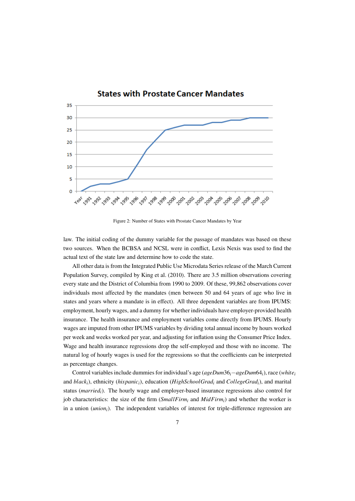

Figure 2: Number of States with Prostate Cancer Mandates by Year

law. The initial coding of the dummy variable for the passage of mandates was based on these two sources. When the BCBSA and NCSL were in conflict, Lexis Nexis was used to find the actual text of the state law and determine how to code the state.

All other data is from the Integrated Public Use Microdata Series release of the March Current Population Survey, compiled by King et al. (2010). There are 3.5 million observations covering every state and the District of Columbia from 1990 to 2009. Of these, 99,862 observations cover individuals most affected by the mandates (men between 50 and 64 years of age who live in states and years where a mandate is in effect). All three dependent variables are from IPUMS: employment, hourly wages, and a dummy for whether individuals have employer-provided health insurance. The health insurance and employment variables come directly from IPUMS. Hourly wages are imputed from other IPUMS variables by dividing total annual income by hours worked per week and weeks worked per year, and adjusting for inflation using the Consumer Price Index. Wage and health insurance regressions drop the self-employed and those with no income. The natural log of hourly wages is used for the regressions so that the coefficients can be interpreted as percentage changes.

Control variables include dummies for individual's age (*ageDum*36*i*−*ageDum*64*i*), race (*white<sup>i</sup>* and *blacki*), ethnicity (*hispanici*), education (*HighSchoolGrad<sup>i</sup>* and *CollegeGradi*), and marital status (*marriedi*). The hourly wage and employer-based insurance regressions also control for job characteristics: the size of the firm (*SmallFirm<sup>i</sup>* and *MidFirmi*) and whether the worker is in a union (*unioni*). The independent variables of interest for triple-difference regression are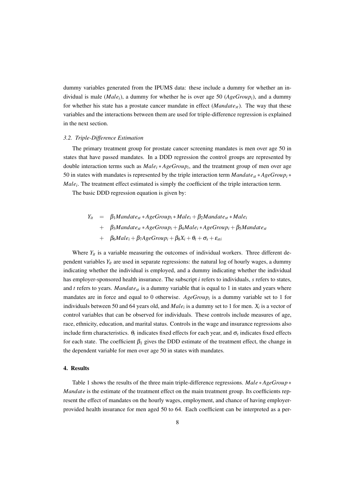dummy variables generated from the IPUMS data: these include a dummy for whether an individual is male (*Malei*), a dummy for whether he is over age 50 (*AgeGroupi*), and a dummy for whether his state has a prostate cancer mandate in effect  $(Mandate<sub>st</sub>)$ . The way that these variables and the interactions between them are used for triple-difference regression is explained in the next section.

#### *3.2. Triple-Difference Estimation*

The primary treatment group for prostate cancer screening mandates is men over age 50 in states that have passed mandates. In a DDD regression the control groups are represented by double interaction terms such as *Male<sup>i</sup>* ∗ *AgeGroup<sup>i</sup>* , and the treatment group of men over age 50 in states with mandates is represented by the triple interaction term *Mandatest* ∗*AgeGroup<sup>i</sup>* ∗ *Male<sup>i</sup>* . The treatment effect estimated is simply the coefficient of the triple interaction term.

The basic DDD regression equation is given by:

 $Y_{it}$  =  $\beta_1$ *Mandate*<sub>*st*</sub> \**AgeGroup*<sub>*i*</sub> \**Male*<sub>*i*</sub> +  $\beta_2$ *Mandate*<sub>*st*</sub> \* *Male*<sub>*i*</sub> + β3*Mandatest* ∗*AgeGroup<sup>i</sup>* +β4*Male<sup>i</sup>* ∗*AgeGroup<sup>i</sup>* +β5*Mandatest* +  $\beta_6 Male_i + \beta_7 AgeGroup_i + \beta_8X_i + \theta_t + \sigma_s + \varepsilon_{sti}$ 

Where  $Y_{it}$  is a variable measuring the outcomes of individual workers. Three different dependent variables  $Y_{it}$  are used in separate regressions: the natural log of hourly wages, a dummy indicating whether the individual is employed, and a dummy indicating whether the individual has employer-sponsored health insurance. The subscript *i* refers to individuals, *s* refers to states, and  $t$  refers to years. *Mandate*<sub>st</sub> is a dummy variable that is equal to 1 in states and years where mandates are in force and equal to 0 otherwise. *AgeGroup<sup>i</sup>* is a dummy variable set to 1 for individuals between 50 and 64 years old, and  $Male_i$  is a dummy set to 1 for men.  $X_i$  is a vector of control variables that can be observed for individuals. These controls include measures of age, race, ethnicity, education, and marital status. Controls in the wage and insurance regressions also include firm characteristics.  $\theta_t$  indicates fixed effects for each year, and  $\sigma_s$  indicates fixed effects for each state. The coefficient  $\beta_1$  gives the DDD estimate of the treatment effect, the change in the dependent variable for men over age 50 in states with mandates.

# 4. Results

Table 1 shows the results of the three main triple-difference regressions. *Male* ∗*AgeGroup* ∗ *Mandate* is the estimate of the treatment effect on the main treatment group. Its coefficients represent the effect of mandates on the hourly wages, employment, and chance of having employerprovided health insurance for men aged 50 to 64. Each coefficient can be interpreted as a per-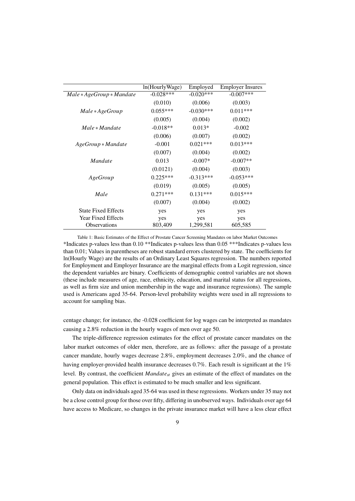|                             | ln(HourlyWage) | Employed    | <b>Employer Insures</b> |
|-----------------------------|----------------|-------------|-------------------------|
| $Male * AgeGroup * Mandate$ | $-0.028***$    | $-0.020***$ | $-0.007$ ***            |
|                             | (0.010)        | (0.006)     | (0.003)                 |
| Male * AgeGroup             | $0.055***$     | $-0.030***$ | $0.011***$              |
|                             | (0.005)        | (0.004)     | (0.002)                 |
| $Male * Mandate$            | $-0.018**$     | $0.013*$    | $-0.002$                |
|                             | (0.006)        | (0.007)     | (0.002)                 |
| $A geGroup * Mandate$       | $-0.001$       | $0.021***$  | $0.013***$              |
|                             | (0.007)        | (0.004)     | (0.002)                 |
| Mandate                     | 0.013          | $-0.007*$   | $-0.007**$              |
|                             | (0.0121)       | (0.004)     | (0.003)                 |
| AgeGroup                    | $0.225***$     | $-0.313***$ | $-0.053***$             |
|                             | (0.019)        | (0.005)     | (0.005)                 |
| Male                        | $0.271***$     | $0.131***$  | $0.015***$              |
|                             | (0.007)        | (0.004)     | (0.002)                 |
| <b>State Fixed Effects</b>  | yes            | yes         | yes                     |
| <b>Year Fixed Effects</b>   | yes            | yes         | yes                     |
| <b>Observations</b>         | 803,409        | 1,299,581   | 605,585                 |

Table 1: Basic Estimates of the Effect of Prostate Cancer Screening Mandates on labor Market Outcomes \*Indicates p-values less than 0.10 \*\*Indicates p-values less than 0.05 \*\*\*Indicates p-values less than 0.01; Values in parentheses are robust standard errors clustered by state. The coefficients for ln(Hourly Wage) are the results of an Ordinary Least Squares regression. The numbers reported for Employment and Employer Insurance are the marginal effects from a Logit regression, since the dependent variables are binary. Coefficients of demographic control variables are not shown (these include measures of age, race, ethnicity, education, and marital status for all regressions, as well as firm size and union membership in the wage and insurance regressions). The sample used is Americans aged 35-64. Person-level probability weights were used in all regressions to account for sampling bias.

centage change; for instance, the -0.028 coefficient for log wages can be interpreted as mandates causing a 2.8% reduction in the hourly wages of men over age 50.

The triple-difference regression estimates for the effect of prostate cancer mandates on the labor market outcomes of older men, therefore, are as follows: after the passage of a prostate cancer mandate, hourly wages decrease 2.8%, employment decreases 2.0%, and the chance of having employer-provided health insurance decreases 0.7%. Each result is significant at the 1% level. By contrast, the coefficient *Mandatest* gives an estimate of the effect of mandates on the general population. This effect is estimated to be much smaller and less significant.

Only data on individuals aged 35-64 was used in these regressions. Workers under 35 may not be a close control group for those over fifty, differing in unobserved ways. Individuals over age 64 have access to Medicare, so changes in the private insurance market will have a less clear effect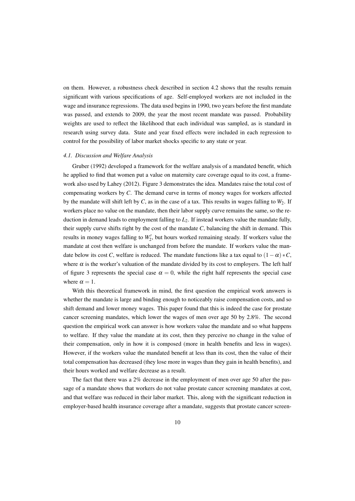on them. However, a robustness check described in section 4.2 shows that the results remain significant with various specifications of age. Self-employed workers are not included in the wage and insurance regressions. The data used begins in 1990, two years before the first mandate was passed, and extends to 2009, the year the most recent mandate was passed. Probability weights are used to reflect the likelihood that each individual was sampled, as is standard in research using survey data. State and year fixed effects were included in each regression to control for the possibility of labor market shocks specific to any state or year.

#### *4.1. Discussion and Welfare Analysis*

Gruber (1992) developed a framework for the welfare analysis of a mandated benefit, which he applied to find that women put a value on maternity care coverage equal to its cost, a framework also used by Lahey (2012). Figure 3 demonstrates the idea. Mandates raise the total cost of compensating workers by *C*. The demand curve in terms of money wages for workers affected by the mandate will shift left by  $C$ , as in the case of a tax. This results in wages falling to  $W_2$ . If workers place no value on the mandate, then their labor supply curve remains the same, so the reduction in demand leads to employment falling to *L*<sub>2</sub>. If instead workers value the mandate fully, their supply curve shifts right by the cost of the mandate *C*, balancing the shift in demand. This results in money wages falling to  $W_2'$ , but hours worked remaining steady. If workers value the mandate at cost then welfare is unchanged from before the mandate. If workers value the mandate below its cost *C*, welfare is reduced. The mandate functions like a tax equal to  $(1 - \alpha) * C$ , where  $\alpha$  is the worker's valuation of the mandate divided by its cost to employers. The left half of figure 3 represents the special case  $\alpha = 0$ , while the right half represents the special case where  $\alpha = 1$ .

With this theoretical framework in mind, the first question the empirical work answers is whether the mandate is large and binding enough to noticeably raise compensation costs, and so shift demand and lower money wages. This paper found that this is indeed the case for prostate cancer screening mandates, which lower the wages of men over age 50 by 2.8%. The second question the empirical work can answer is how workers value the mandate and so what happens to welfare. If they value the mandate at its cost, then they perceive no change in the value of their compensation, only in how it is composed (more in health benefits and less in wages). However, if the workers value the mandated benefit at less than its cost, then the value of their total compensation has decreased (they lose more in wages than they gain in health benefits), and their hours worked and welfare decrease as a result.

The fact that there was a 2% decrease in the employment of men over age 50 after the passage of a mandate shows that workers do not value prostate cancer screening mandates at cost, and that welfare was reduced in their labor market. This, along with the significant reduction in employer-based health insurance coverage after a mandate, suggests that prostate cancer screen-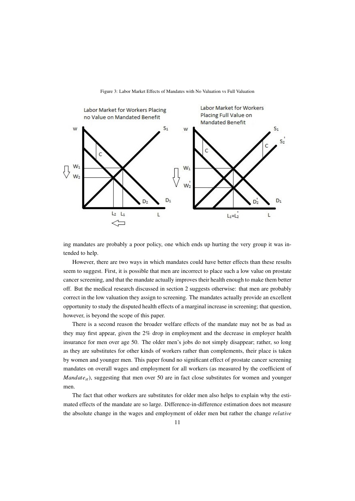

Figure 3: Labor Market Effects of Mandates with No Valuation vs Full Valuation

ing mandates are probably a poor policy, one which ends up hurting the very group it was intended to help.

However, there are two ways in which mandates could have better effects than these results seem to suggest. First, it is possible that men are incorrect to place such a low value on prostate cancer screening, and that the mandate actually improves their health enough to make them better off. But the medical research discussed in section 2 suggests otherwise: that men are probably correct in the low valuation they assign to screening. The mandates actually provide an excellent opportunity to study the disputed health effects of a marginal increase in screening; that question, however, is beyond the scope of this paper.

There is a second reason the broader welfare effects of the mandate may not be as bad as they may first appear, given the 2% drop in employment and the decrease in employer health insurance for men over age 50. The older men's jobs do not simply disappear; rather, so long as they are substitutes for other kinds of workers rather than complements, their place is taken by women and younger men. This paper found no significant effect of prostate cancer screening mandates on overall wages and employment for all workers (as measured by the coefficient of *Mandate<sub>st</sub>*), suggesting that men over 50 are in fact close substitutes for women and younger men.

The fact that other workers are substitutes for older men also helps to explain why the estimated effects of the mandate are so large. Difference-in-difference estimation does not measure the absolute change in the wages and employment of older men but rather the change *relative*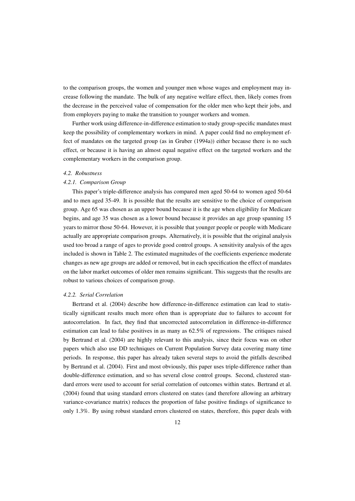to the comparison groups, the women and younger men whose wages and employment may increase following the mandate. The bulk of any negative welfare effect, then, likely comes from the decrease in the perceived value of compensation for the older men who kept their jobs, and from employers paying to make the transition to younger workers and women.

Further work using difference-in-difference estimation to study group-specific mandates must keep the possibility of complementary workers in mind. A paper could find no employment effect of mandates on the targeted group (as in Gruber (1994a)) either because there is no such effect, or because it is having an almost equal negative effect on the targeted workers and the complementary workers in the comparison group.

#### *4.2. Robustness*

# *4.2.1. Comparison Group*

This paper's triple-difference analysis has compared men aged 50-64 to women aged 50-64 and to men aged 35-49. It is possible that the results are sensitive to the choice of comparison group. Age 65 was chosen as an upper bound because it is the age when eligibility for Medicare begins, and age 35 was chosen as a lower bound because it provides an age group spanning 15 years to mirror those 50-64. However, it is possible that younger people or people with Medicare actually are appropriate comparison groups. Alternatively, it is possible that the original analysis used too broad a range of ages to provide good control groups. A sensitivity analysis of the ages included is shown in Table 2. The estimated magnitudes of the coefficients experience moderate changes as new age groups are added or removed, but in each specification the effect of mandates on the labor market outcomes of older men remains significant. This suggests that the results are robust to various choices of comparison group.

#### *4.2.2. Serial Correlation*

Bertrand et al. (2004) describe how difference-in-difference estimation can lead to statistically significant results much more often than is appropriate due to failures to account for autocorrelation. In fact, they find that uncorrected autocorrelation in difference-in-difference estimation can lead to false positives in as many as 62.5% of regressions. The critiques raised by Bertrand et al. (2004) are highly relevant to this analysis, since their focus was on other papers which also use DD techniques on Current Population Survey data covering many time periods. In response, this paper has already taken several steps to avoid the pitfalls described by Bertrand et al. (2004). First and most obviously, this paper uses triple-difference rather than double-difference estimation, and so has several close control groups. Second, clustered standard errors were used to account for serial correlation of outcomes within states. Bertrand et al. (2004) found that using standard errors clustered on states (and therefore allowing an arbitrary variance-covariance matrix) reduces the proportion of false positive findings of significance to only 1.3%. By using robust standard errors clustered on states, therefore, this paper deals with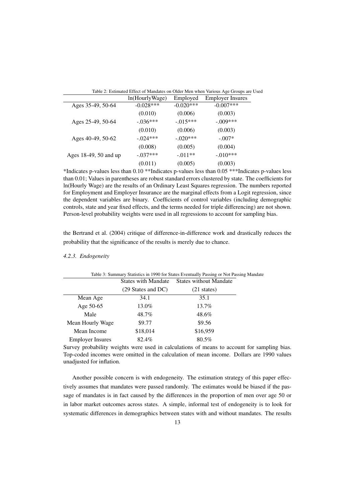|--|

|                       | ln(HourlyWage) | Employed    | <b>Employer Insures</b> |
|-----------------------|----------------|-------------|-------------------------|
| Ages 35-49, 50-64     | $-0.028***$    | $-0.020***$ | $-0.007***$             |
|                       | (0.010)        | (0.006)     | (0.003)                 |
| Ages 25-49, 50-64     | $-.036***$     | $-.015***$  | $-.009***$              |
|                       | (0.010)        | (0.006)     | (0.003)                 |
| Ages 40-49, 50-62     | $-.024***$     | $-.020***$  | $-.007*$                |
|                       | (0.008)        | (0.005)     | (0.004)                 |
| Ages 18-49, 50 and up | $-.037***$     | $-.011**$   | $-.010***$              |
|                       | (0.011)        | (0.005)     | (0.003)                 |

\*Indicates p-values less than 0.10 \*\*Indicates p-values less than 0.05 \*\*\*Indicates p-values less than 0.01; Values in parentheses are robust standard errors clustered by state. The coefficients for ln(Hourly Wage) are the results of an Ordinary Least Squares regression. The numbers reported for Employment and Employer Insurance are the marginal effects from a Logit regression, since the dependent variables are binary. Coefficients of control variables (including demographic controls, state and year fixed effects, and the terms needed for triple differencing) are not shown. Person-level probability weights were used in all regressions to account for sampling bias.

the Bertrand et al. (2004) critique of difference-in-difference work and drastically reduces the probability that the significance of the results is merely due to chance.

#### *4.2.3. Endogeneity*

| Table 3: Summary Statistics in 1990 for States Eventually Passing or Not Passing Mandate |                            |                               |  |
|------------------------------------------------------------------------------------------|----------------------------|-------------------------------|--|
|                                                                                          | <b>States with Mandate</b> | <b>States without Mandate</b> |  |
|                                                                                          | (29 States and DC)         | $(21 \text{ states})$         |  |
| Mean Age                                                                                 | 34.1                       | 35.1                          |  |
| Age 50-65                                                                                | 13.0%                      | 13.7%                         |  |
| Male                                                                                     | 48.7%                      | 48.6%                         |  |
| Mean Hourly Wage                                                                         | \$9.77                     | \$9.56                        |  |
| Mean Income                                                                              | \$18,014                   | \$16,959                      |  |
| <b>Employer Insures</b>                                                                  | 82.4%                      | 80.5%                         |  |

Survey probability weights were used in calculations of means to account for sampling bias. Top-coded incomes were omitted in the calculation of mean income. Dollars are 1990 values unadjusted for inflation.

Another possible concern is with endogeneity. The estimation strategy of this paper effectively assumes that mandates were passed randomly. The estimates would be biased if the passage of mandates is in fact caused by the differences in the proportion of men over age 50 or in labor market outcomes across states. A simple, informal test of endogeneity is to look for systematic differences in demographics between states with and without mandates. The results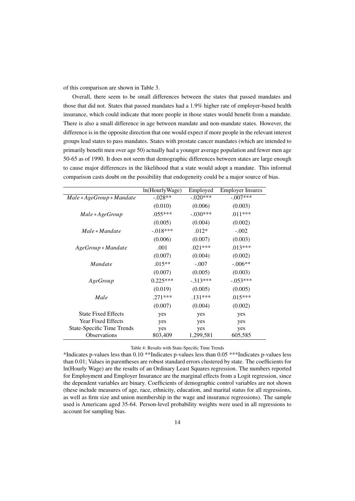of this comparison are shown in Table 3.

Overall, there seem to be small differences between the states that passed mandates and those that did not. States that passed mandates had a 1.9% higher rate of employer-based health insurance, which could indicate that more people in those states would benefit from a mandate. There is also a small difference in age between mandate and non-mandate states. However, the difference is in the opposite direction that one would expect if more people in the relevant interest groups lead states to pass mandates. States with prostate cancer mandates (which are intended to primarily benefit men over age 50) actually had a younger average population and fewer men age 50-65 as of 1990. It does not seem that demographic differences between states are large enough to cause major differences in the likelihood that a state would adopt a mandate. This informal comparison casts doubt on the possibility that endogeneity could be a major source of bias.

|                                   | ln(HourlyWage) | Employed   | <b>Employer Insures</b> |
|-----------------------------------|----------------|------------|-------------------------|
| Male * AgeGroup * Mandate         | $-.028**$      | $-.020***$ | $-.007***$              |
|                                   | (0.010)        | (0.006)    | (0.003)                 |
| Male * AgeGroup                   | $.055***$      | $-.030***$ | $.011***$               |
|                                   | (0.005)        | (0.004)    | (0.002)                 |
| $Male * Mandate$                  | $-.018***$     | $.012*$    | $-.002$                 |
|                                   | (0.006)        | (0.007)    | (0.003)                 |
| $A geGroup * Mandate$             | .001           | $.021***$  | $.013***$               |
|                                   | (0.007)        | (0.004)    | (0.002)                 |
| <i>Mandate</i>                    | $.015**$       | $-.007$    | $-.006**$               |
|                                   | (0.007)        | (0.005)    | (0.003)                 |
| AgeGroup                          | $0.225***$     | $-.313***$ | $-.053***$              |
|                                   | (0.019)        | (0.005)    | (0.005)                 |
| Male                              | $.271***$      | $.131***$  | $.015***$               |
|                                   | (0.007)        | (0.004)    | (0.002)                 |
| <b>State Fixed Effects</b>        | yes            | yes        | yes                     |
| <b>Year Fixed Effects</b>         | yes            | yes        | yes                     |
| <b>State-Specific Time Trends</b> | yes            | yes        | yes                     |
| <b>Observations</b>               | 803,409        | 1,299,581  | 605,585                 |

# Table 4: Results with State-Specific Time Trends

\*Indicates p-values less than 0.10 \*\*Indicates p-values less than 0.05 \*\*\*Indicates p-values less than 0.01; Values in parentheses are robust standard errors clustered by state. The coefficients for ln(Hourly Wage) are the results of an Ordinary Least Squares regression. The numbers reported for Employment and Employer Insurance are the marginal effects from a Logit regression, since the dependent variables are binary. Coefficients of demographic control variables are not shown (these include measures of age, race, ethnicity, education, and marital status for all regressions, as well as firm size and union membership in the wage and insurance regressions). The sample used is Americans aged 35-64. Person-level probability weights were used in all regressions to account for sampling bias.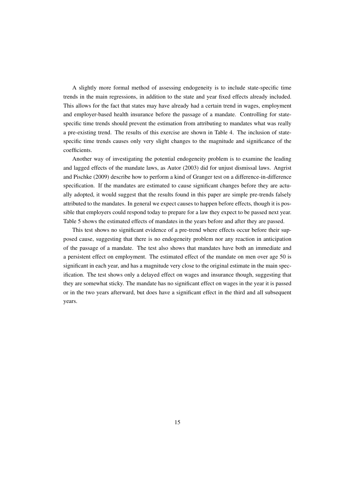A slightly more formal method of assessing endogeneity is to include state-specific time trends in the main regressions, in addition to the state and year fixed effects already included. This allows for the fact that states may have already had a certain trend in wages, employment and employer-based health insurance before the passage of a mandate. Controlling for statespecific time trends should prevent the estimation from attributing to mandates what was really a pre-existing trend. The results of this exercise are shown in Table 4. The inclusion of statespecific time trends causes only very slight changes to the magnitude and significance of the coefficients.

Another way of investigating the potential endogeneity problem is to examine the leading and lagged effects of the mandate laws, as Autor (2003) did for unjust dismissal laws. Angrist and Pischke (2009) describe how to perform a kind of Granger test on a difference-in-difference specification. If the mandates are estimated to cause significant changes before they are actually adopted, it would suggest that the results found in this paper are simple pre-trends falsely attributed to the mandates. In general we expect causes to happen before effects, though it is possible that employers could respond today to prepare for a law they expect to be passed next year. Table 5 shows the estimated effects of mandates in the years before and after they are passed.

This test shows no significant evidence of a pre-trend where effects occur before their supposed cause, suggesting that there is no endogeneity problem nor any reaction in anticipation of the passage of a mandate. The test also shows that mandates have both an immediate and a persistent effect on employment. The estimated effect of the mandate on men over age 50 is significant in each year, and has a magnitude very close to the original estimate in the main specification. The test shows only a delayed effect on wages and insurance though, suggesting that they are somewhat sticky. The mandate has no significant effect on wages in the year it is passed or in the two years afterward, but does have a significant effect in the third and all subsequent years.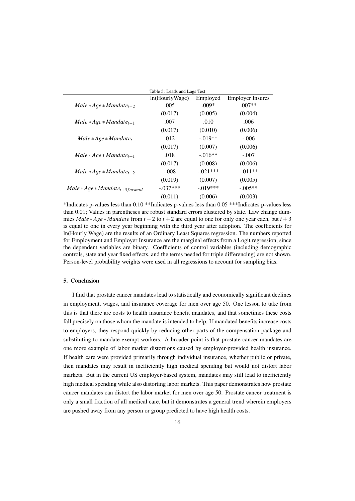|                                     | Table 5: Leads and Lags Test |            |                         |
|-------------------------------------|------------------------------|------------|-------------------------|
|                                     | ln(HourlyWage)               | Employed   | <b>Employer Insures</b> |
| $Male * Age * Mandate_{t-2}$        | .005                         | $.009*$    | $.007**$                |
|                                     | (0.017)                      | (0.005)    | (0.004)                 |
| $Male * Age * Mandate_{t-1}$        | .007                         | .010       | .006                    |
|                                     | (0.017)                      | (0.010)    | (0.006)                 |
| $Male * Age * Mandate_t$            | .012                         | $-.019**$  | $-.006$                 |
|                                     | (0.017)                      | (0.007)    | (0.006)                 |
| $Male * Age * Mandate_{t+1}$        | .018                         | $-.016**$  | $-.007$                 |
|                                     | (0.017)                      | (0.008)    | (0.006)                 |
| $Male * Age * Mandate_{t+2}$        | $-.008$                      | $-.021***$ | $-.011**$               |
|                                     | (0.019)                      | (0.007)    | (0.005)                 |
| $Male * Age * Mandate_{t+3forward}$ | $-.037***$                   | $-.019***$ | $-.005**$               |
|                                     | (0.011)                      | (0.006)    | (0.003)                 |

\*Indicates p-values less than 0.10 \*\*Indicates p-values less than 0.05 \*\*\*Indicates p-values less than 0.01; Values in parentheses are robust standard errors clustered by state. Law change dummies *Male* ∗*Age* ∗ *Mandate* from *t* −2 to *t* +2 are equal to one for only one year each, but *t* +3 is equal to one in every year beginning with the third year after adoption. The coefficients for ln(Hourly Wage) are the results of an Ordinary Least Squares regression. The numbers reported for Employment and Employer Insurance are the marginal effects from a Logit regression, since the dependent variables are binary. Coefficients of control variables (including demographic controls, state and year fixed effects, and the terms needed for triple differencing) are not shown. Person-level probability weights were used in all regressions to account for sampling bias.

# 5. Conclusion

I find that prostate cancer mandates lead to statistically and economically significant declines in employment, wages, and insurance coverage for men over age 50. One lesson to take from this is that there are costs to health insurance benefit mandates, and that sometimes these costs fall precisely on those whom the mandate is intended to help. If mandated benefits increase costs to employers, they respond quickly by reducing other parts of the compensation package and substituting to mandate-exempt workers. A broader point is that prostate cancer mandates are one more example of labor market distortions caused by employer-provided health insurance. If health care were provided primarily through individual insurance, whether public or private, then mandates may result in inefficiently high medical spending but would not distort labor markets. But in the current US employer-based system, mandates may still lead to inefficiently high medical spending while also distorting labor markets. This paper demonstrates how prostate cancer mandates can distort the labor market for men over age 50. Prostate cancer treatment is only a small fraction of all medical care, but it demonstrates a general trend wherein employers are pushed away from any person or group predicted to have high health costs.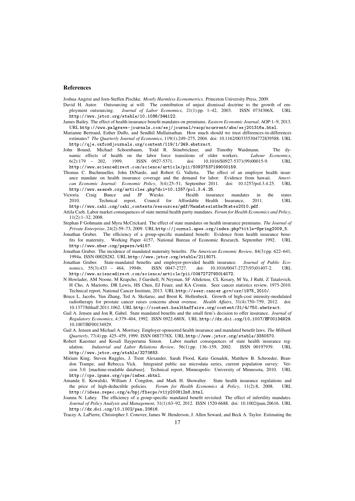#### References

Joshua Angrist and Jorn-Steffen Pischke. *Mostly Harmless Econometrics*. Princeton University Press, 2009.

- David H. Autor. Outsourcing at will: The contribution of unjust dismissal doctrine to the growth of employment outsourcing. *Journal of Labor Economics*, 21(1):pp. 1–42, 2003. ISSN 0734306X. URL http://www.jstor.org/stable/10.1086/344122.
- James Bailey. The effect of health insurance benefit mandates on premiums. *Eastern Economic Journal*, AOP:1–9, 2013. URL http://www.palgrave-journals.com/eej/journal/vaop/ncurrent/abs/eej201316a.html.
- Marianne Bertrand, Esther Duflo, and Sendhil Mullainathan. How much should we trust differences-in-differences estimates? *The Quarterly Journal of Economics*, 119(1):249–275, 2004. doi: 10.1162/003355304772839588. URL http://qje.oxfordjournals.org/content/119/1/249.abstract.
- John Bound, Michael Schoenbaum, Todd R. Stinebrickner, and Timothy Waidmann. The dynamic effects of health on the labor force transitions of older workers. Labour Economics, namic effects of health on the labor force transitions of older workers. 6(2):179 – 202, 1999. ISSN 0927-5371. doi: 10.1016/S0927-5371(99)00015-9. URL http://www.sciencedirect.com/science/article/pii/S0927537199000159.
- Thomas C. Buchmueller, John DiNardo, and Robert G. Valletta. The effect of an employer health insurance mandate on health insurance coverage and the demand for labor: Evidence from hawaii. *American Economic Journal: Economic Policy*, 3(4):25–51, September 2011. doi: 10.1257/pol.3.4.25. URL http://www.aeaweb.org/articles.php?doi=10.1257/pol.3.4.25.
- Victoria Craig Bunce and JP Wieske. Health insurance mandates in the states 2010 Technical report Council for Affordable Health Insurance 2011 IIRL Technical report, Council for Affordable Health Insurance, 2011. http://www.cahi.org/cahi\_contents/resources/pdf/MandatesintheStates2010.pdf.
- Attila Cseh. Labor market consequences of state mental health parity mandates. *Forum for Health Economics and Policy*, 11(2):1–32, 2008.
- Stephan F Gohmann and Myra McCrickard. The effect of state mandates on health insurance premiums. *The Journal of Private Enterprise*, 24(2):59–73, 2009. URL http://journal.apee.org/index.php?title=Spring2009\_5.
- Jonathan Gruber. The efficiency of a group-specific mandated benefit: Evidence from health insurance benefits for maternity. Working Paper 4157, National Bureau of Economic Research, September 1992. URL http://www.nber.org/papers/w4157.
- Jonathan Gruber. The incidence of mandated maternity benefits. *The American Economic Review*, 84(3):pp. 622–641, 1994a. ISSN 00028282. URL http://www.jstor.org/stable/2118071.
- Jonathan Gruber. State-mandated benefits and employer-provided health insurance. *Journal of Public Economics*, 55(3):433 – 464, 1994b. ISSN 0047-2727. doi: 10.1016/0047-2727(93)01407-2. URL http://www.sciencedirect.com/science/article/pii/0047272793014072.
- N Howlader, AM Noone, M Krapcho, J Garshell, N Neyman, SF Altekruse, CL Kosary, M Yu, J Ruhl, Z Tatalovich, H Cho, A Mariotto, DR Lewis, HS Chen, EJ Feuer, and KA Cronin. Seer cancer statistics review, 1975-2010. Technical report, National Cancer Institute, 2013. URL http://seer.cancer.gov/csr/1975\_2010/.
- Bruce L. Jacobs, Yun Zhang, Ted A. Skolarus, and Brent K. Hollenbeck. Growth of high-cost intensity-modulated radiotherapy for prostate cancer raises concerns about overuse. *Health Affairs*, 31(4):750–759, 2012. doi: 10.1377/hlthaff.2011.1062. URL http://content.healthaffairs.org/content/31/4/750.abstract.
- Gail A. Jensen and Jon R. Gabel. State mandated benefits and the small firm's decision to offer insurance. *Journal of Regulatory Economics*, 4:379–404, 1992. ISSN 0922-680X. URL http://dx.doi.org/10.1007/BF00134929. 10.1007/BF00134929.
- Gail A. Jensen and Michael A. Morrisey. Employer-sponsored health insurance and mandated benefit laws. *The Milbank Quarterly*, 77(4):pp. 425–459, 1999. ISSN 0887378X. URL http://www.jstor.org/stable/3350570.
- Robert Kaestner and Kosali Ilayperuma Simon. Labor market consequences of state health insurance reg-<br>ulation. Industrial and Labor Relations Review, 56(1):pp. 136-159, 2002. ISSN 00197939. URL ulation. *Industrial and Labor Relations Review*, 56(1):pp. 136–159, 2002. ISSN 00197939. URL http://www.jstor.org/stable/3270653.
- Miriam King, Steven Ruggles, J. Trent Alexander, Sarah Flood, Katie Genadek, Matthew B. Schroeder, Brandon Trampe, and Rebecca Vick. Integrated public use microdata series, current population survey: Version 3.0. [machine-readable database]. Technical report, Minneapolis: University of Minnesota, 2010. URL http://cps.ipums.org/cps/index.shtml.
- Amanda E. Kowalski, William J. Congdon, and Mark H. Showalter. State health insurance regulations and the price of high-deductible policies. *Forum for Health Economics & Policy*, 11(2):8, 2008. URL http://ideas.repec.org/a/bpj/fhecpo/v11y2008i2n8.html.
- Joanna N. Lahey. The efficiency of a group-specific mandated benefit revisited: The effect of infertility mandates. *Journal of Policy Analysis and Management*, 31(1):63–92, 2012. ISSN 1520-6688. doi: 10.1002/pam.20616. URL http://dx.doi.org/10.1002/pam.20616.
- Tracey A. LaPierre, Christopher J. Conover, James W. Henderson, J. Allen Seward, and Beck A. Taylor. Estimating the